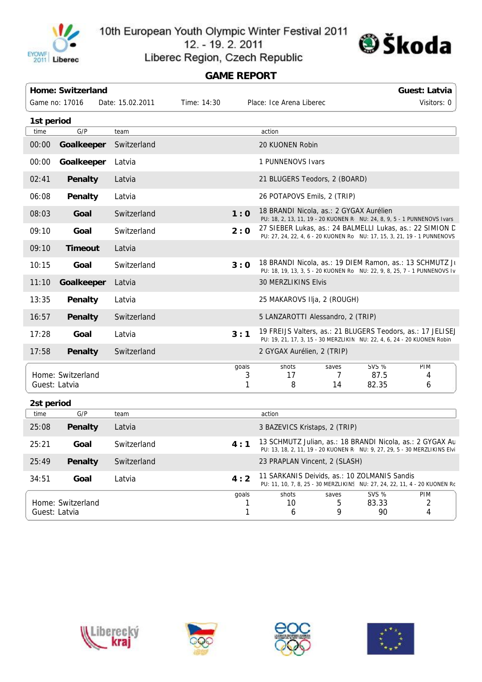

10th European Youth Olympic Winter Festival 2011 12. - 19. 2. 2011



Liberec Region, Czech Republic

## **GAME REPORT**

|                                    | Home: Switzerland |                  |                                         |            |                                                                                                                                        |                 |                             | <b>Guest: Latvia</b>                                                     |  |  |
|------------------------------------|-------------------|------------------|-----------------------------------------|------------|----------------------------------------------------------------------------------------------------------------------------------------|-----------------|-----------------------------|--------------------------------------------------------------------------|--|--|
|                                    | Game no: 17016    | Date: 15.02.2011 | Time: 14:30<br>Place: Ice Arena Liberec |            |                                                                                                                                        |                 |                             | Visitors: 0                                                              |  |  |
| 1st period                         |                   |                  |                                         |            |                                                                                                                                        |                 |                             |                                                                          |  |  |
| time                               | G/P               | team             |                                         |            | action                                                                                                                                 |                 |                             |                                                                          |  |  |
| 00:00                              | Goalkeeper        | Switzerland      |                                         |            | 20 KUONEN Robin                                                                                                                        |                 |                             |                                                                          |  |  |
| 00:00                              | Goalkeeper        | Latvia           |                                         |            | 1 PUNNENOVS Ivars                                                                                                                      |                 |                             |                                                                          |  |  |
| 02:41                              | Penalty           | Latvia           |                                         |            | 21 BLUGERS Teodors, 2 (BOARD)                                                                                                          |                 |                             |                                                                          |  |  |
| 06:08                              | Penalty           | Latvia           |                                         |            | 26 POTAPOVS Emils, 2 (TRIP)                                                                                                            |                 |                             |                                                                          |  |  |
| 08:03                              | Goal              | Switzerland      |                                         | 1:0        | 18 BRANDI Nicola, as.: 2 GYGAX Aurélien<br>PU: 18, 2, 13, 11, 19 - 20 KUONEN R NU: 24, 8, 9, 5 - 1 PUNNENOVS Ivars                     |                 |                             |                                                                          |  |  |
| 09:10                              | Goal              | Switzerland      |                                         | 2:0        | 27 SIEBER Lukas, as.: 24 BALMELLI Lukas, as.: 22 SIMION D                                                                              |                 |                             | PU: 27, 24, 22, 4, 6 - 20 KUONEN Rol NU: 17, 15, 3, 21, 19 - 1 PUNNENOVS |  |  |
| 09:10                              | <b>Timeout</b>    | Latvia           |                                         |            |                                                                                                                                        |                 |                             |                                                                          |  |  |
| 10:15                              | Goal              | Switzerland      |                                         | 3:0        | 18 BRANDI Nicola, as.: 19 DIEM Ramon, as.: 13 SCHMUTZ Ju<br>PU: 18, 19, 13, 3, 5 - 20 KUONEN Rol NU: 22, 9, 8, 25, 7 - 1 PUNNENOVS Iv  |                 |                             |                                                                          |  |  |
| 11:10                              | Goalkeeper        | Latvia           |                                         |            | 30 MERZLIKINS Elvis                                                                                                                    |                 |                             |                                                                          |  |  |
| 13:35                              | <b>Penalty</b>    | Latvia           |                                         |            | 25 MAKAROVS IIja, 2 (ROUGH)                                                                                                            |                 |                             |                                                                          |  |  |
| 16:57                              | <b>Penalty</b>    | Switzerland      |                                         |            | 5 LANZAROTTI Alessandro, 2 (TRIP)                                                                                                      |                 |                             |                                                                          |  |  |
| 17:28                              | Goal              | Latvia           |                                         | 3:1        | 19 FREIJS Valters, as.: 21 BLUGERS Teodors, as.: 17 JELISEJ<br>PU: 19, 21, 17, 3, 15 - 30 MERZLIKIN NU: 22, 4, 6, 24 - 20 KUONEN Robin |                 |                             |                                                                          |  |  |
| 17:58                              | <b>Penalty</b>    | Switzerland      |                                         |            | 2 GYGAX Aurélien, 2 (TRIP)                                                                                                             |                 |                             |                                                                          |  |  |
|                                    | Home: Switzerland |                  |                                         | goals<br>3 | shots<br>17                                                                                                                            | saves<br>7      | <b>SVS %</b><br>87.5        | PIM<br>4                                                                 |  |  |
| Guest: Latvia                      |                   |                  |                                         | 1          | 8                                                                                                                                      | 14              | 82.35                       | 6                                                                        |  |  |
| 2st period                         |                   |                  |                                         |            |                                                                                                                                        |                 |                             |                                                                          |  |  |
| time                               | G/P               | team             |                                         |            | action                                                                                                                                 |                 |                             |                                                                          |  |  |
| 25:08                              | <b>Penalty</b>    | Latvia           |                                         |            | 3 BAZEVICS Kristaps, 2 (TRIP)                                                                                                          |                 |                             |                                                                          |  |  |
| 25:21                              | Goal              | Switzerland      |                                         | 4:1        | 13 SCHMUTZ Julian, as.: 18 BRANDI Nicola, as.: 2 GYGAX Au<br>PU: 13, 18, 2, 11, 19 - 20 KUONEN R NU: 9, 27, 29, 5 - 30 MERZLIKINS Elvi |                 |                             |                                                                          |  |  |
| 25:49                              | Penalty           | Switzerland      |                                         |            | 23 PRAPLAN Vincent, 2 (SLASH)                                                                                                          |                 |                             |                                                                          |  |  |
| 34:51                              | Goal              | Latvia           |                                         | 4:2        | 11 SARKANIS Deivids, as.: 10 ZOLMANIS Sandis<br>PU: 11, 10, 7, 8, 25 - 30 MERZLIKINS NU: 27, 24, 22, 11, 4 - 20 KUONEN Rc              |                 |                             |                                                                          |  |  |
| Home: Switzerland<br>Guest: Latvia |                   |                  |                                         | goals      | shots<br>10 <sup>°</sup><br>6                                                                                                          | saves<br>5<br>9 | <b>SVS %</b><br>83.33<br>90 | <b>PIM</b><br>2<br>4                                                     |  |  |